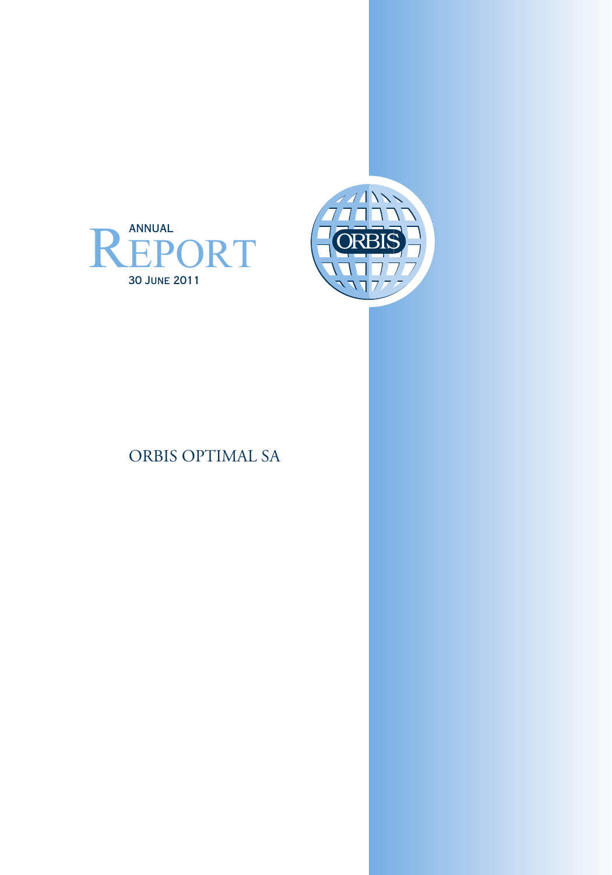



## ORBIS OPTIMAL SA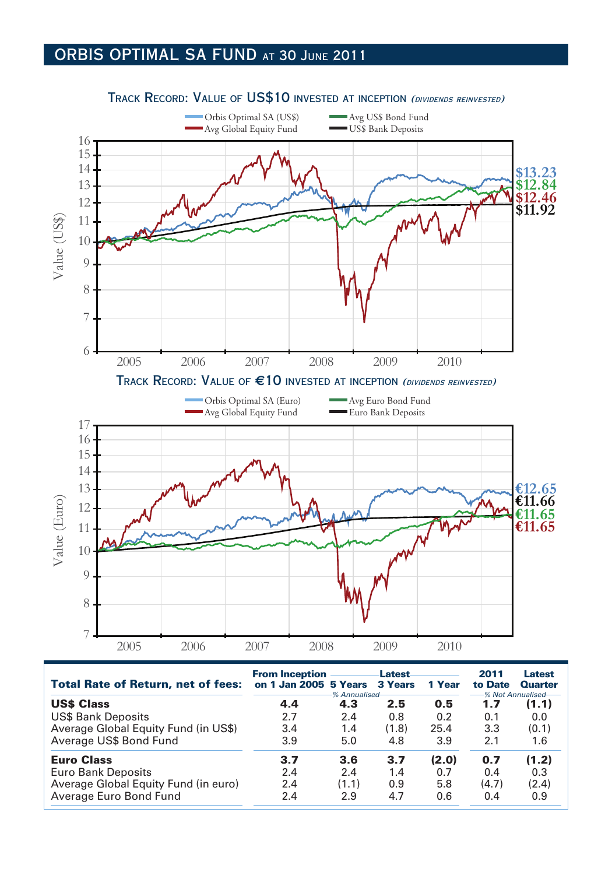

#### TRACK RECORD: VALUE OF US\$10 INVESTED AT INCEPTION (DIVIDENDS REINVESTED)

| <b>Total Rate of Return, net of fees:</b>      | <b>From Inception</b><br>on 1 Jan 2005 5 Years |                      | <b>Latest</b><br>3 Years | 1 Year       | 2011<br>to Date | <b>Latest</b><br><b>Quarter</b> |
|------------------------------------------------|------------------------------------------------|----------------------|--------------------------|--------------|-----------------|---------------------------------|
| <b>USS Class</b>                               | 4.4                                            | -% Annualised<br>4.3 | 2.5                      | 0.5          | 1.7             | -% Not Annualised<br>(1.1)      |
| <b>US\$ Bank Deposits</b>                      | 2.7                                            | 2.4                  | 0.8                      | 0.2          | 0.1             | 0.0                             |
| Average Global Equity Fund (in US\$)           | 3.4                                            | 1.4                  | (1.8)                    | 25.4         | 3.3             | (0.1)                           |
| Average US\$ Bond Fund                         | 3.9                                            | 5.0                  | 4.8                      | 3.9          | 2.1             | 1.6                             |
| <b>Euro Class</b><br><b>Euro Bank Deposits</b> | 3.7<br>2.4                                     | 3.6<br>2.4           | 3.7<br>1.4               | (2.0)<br>0.7 | 0.7<br>0.4      | (1.2)<br>0.3                    |
| Average Global Equity Fund (in euro)           | 2.4                                            | (1.1)                | 0.9                      | 5.8          | (4.7)           | (2.4)                           |
| Average Euro Bond Fund                         | 2.4                                            | 2.9                  | 4.7                      | 0.6          | 0.4             | 0.9                             |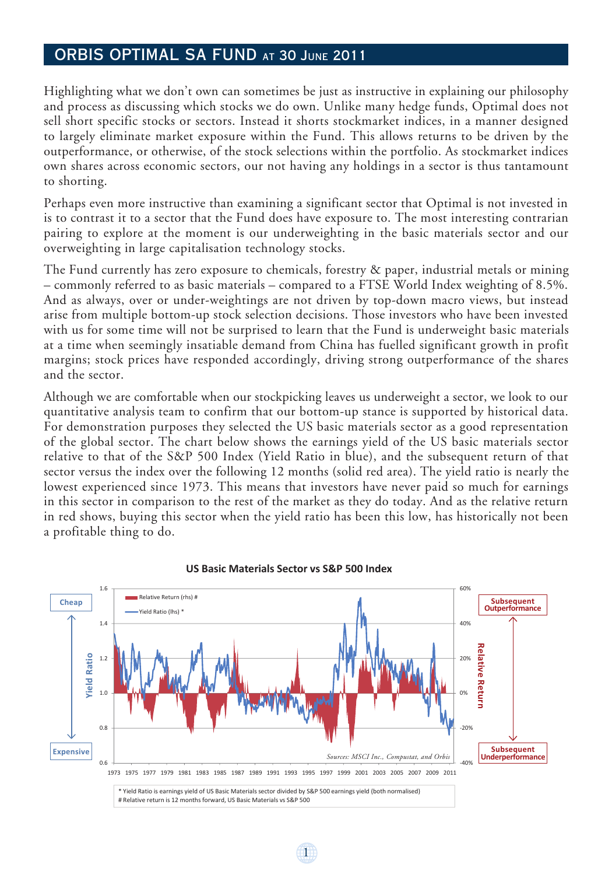Highlighting what we don't own can sometimes be just as instructive in explaining our philosophy and process as discussing which stocks we do own. Unlike many hedge funds, Optimal does not sell short specific stocks or sectors. Instead it shorts stockmarket indices, in a manner designed to largely eliminate market exposure within the Fund. This allows returns to be driven by the outperformance, or otherwise, of the stock selections within the portfolio. As stockmarket indices own shares across economic sectors, our not having any holdings in a sector is thus tantamount to shorting.

Perhaps even more instructive than examining a significant sector that Optimal is not invested in is to contrast it to a sector that the Fund does have exposure to. The most interesting contrarian pairing to explore at the moment is our underweighting in the basic materials sector and our overweighting in large capitalisation technology stocks.

The Fund currently has zero exposure to chemicals, forestry & paper, industrial metals or mining – commonly referred to as basic materials – compared to a FTSE World Index weighting of 8.5%. And as always, over or under-weightings are not driven by top-down macro views, but instead arise from multiple bottom-up stock selection decisions. Those investors who have been invested with us for some time will not be surprised to learn that the Fund is underweight basic materials at a time when seemingly insatiable demand from China has fuelled significant growth in profit margins; stock prices have responded accordingly, driving strong outperformance of the shares and the sector.

Although we are comfortable when our stockpicking leaves us underweight a sector, we look to our quantitative analysis team to confirm that our bottom-up stance is supported by historical data. For demonstration purposes they selected the US basic materials sector as a good representation of the global sector. The chart below shows the earnings yield of the US basic materials sector relative to that of the S&P 500 Index (Yield Ratio in blue), and the subsequent return of that sector versus the index over the following 12 months (solid red area). The yield ratio is nearly the lowest experienced since 1973. This means that investors have never paid so much for earnings in this sector in comparison to the rest of the market as they do today. And as the relative return in red shows, buying this sector when the yield ratio has been this low, has historically not been a profitable thing to do.



"11"

#### **US Basic Materials Sector vs S&P 500 Index**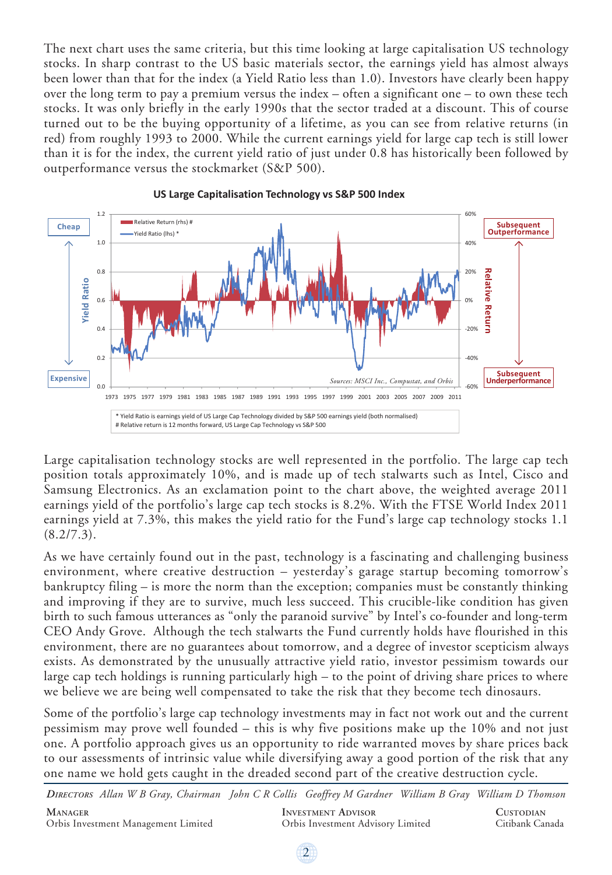The next chart uses the same criteria, but this time looking at large capitalisation US technology stocks. In sharp contrast to the US basic materials sector, the earnings yield has almost always been lower than that for the index (a Yield Ratio less than 1.0). Investors have clearly been happy over the long term to pay a premium versus the index – often a significant one – to own these tech stocks. It was only briefly in the early 1990s that the sector traded at a discount. This of course turned out to be the buying opportunity of a lifetime, as you can see from relative returns (in red) from roughly 1993 to 2000. While the current earnings yield for large cap tech is still lower than it is for the index, the current yield ratio of just under 0.8 has historically been followed by outperformance versus the stockmarket (S&P 500).



#### **US Large Capitalisation Technology vs S&P 500 Index**

Large capitalisation technology stocks are well represented in the portfolio. The large cap tech position totals approximately 10%, and is made up of tech stalwarts such as Intel, Cisco and Samsung Electronics. As an exclamation point to the chart above, the weighted average 2011 earnings yield of the portfolio's large cap tech stocks is 8.2%. With the FTSE World Index 2011 earnings yield at 7.3%, this makes the yield ratio for the Fund's large cap technology stocks 1.1  $(8.2/7.3).$ 

As we have certainly found out in the past, technology is a fascinating and challenging business environment, where creative destruction – yesterday's garage startup becoming tomorrow's bankruptcy filing – is more the norm than the exception; companies must be constantly thinking and improving if they are to survive, much less succeed. This crucible-like condition has given birth to such famous utterances as "only the paranoid survive" by Intel's co-founder and long-term CEO Andy Grove. Although the tech stalwarts the Fund currently holds have flourished in this environment, there are no guarantees about tomorrow, and a degree of investor scepticism always exists. As demonstrated by the unusually attractive yield ratio, investor pessimism towards our large cap tech holdings is running particularly high – to the point of driving share prices to where we believe we are being well compensated to take the risk that they become tech dinosaurs.

Some of the portfolio's large cap technology investments may in fact not work out and the current pessimism may prove well founded – this is why five positions make up the 10% and not just one. A portfolio approach gives us an opportunity to ride warranted moves by share prices back to our assessments of intrinsic value while diversifying away a good portion of the risk that any one name we hold gets caught in the dreaded second part of the creative destruction cycle.

*DIRECTORS Allan W B Gray, Chairman John C R Collis Geoffrey M Gardner William B Gray William D Thomson*

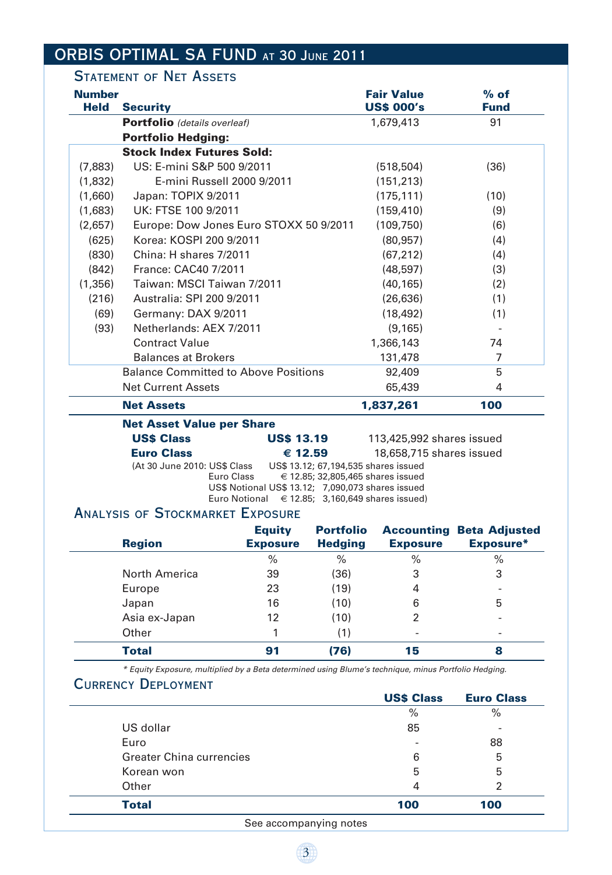| <b>Number</b> |                                             | <b>Fair Value</b> | $%$ of                   |
|---------------|---------------------------------------------|-------------------|--------------------------|
| <b>Held</b>   | <b>Security</b>                             | <b>US\$ 000's</b> | <b>Fund</b>              |
|               | <b>Portfolio</b> (details overleaf)         | 1,679,413         | 91                       |
|               | <b>Portfolio Hedging:</b>                   |                   |                          |
|               | <b>Stock Index Futures Sold:</b>            |                   |                          |
| (7,883)       | US: E-mini S&P 500 9/2011                   | (518, 504)        | (36)                     |
| (1,832)       | E-mini Russell 2000 9/2011                  | (151, 213)        |                          |
| (1,660)       | Japan: TOPIX 9/2011                         | (175, 111)        | (10)                     |
| (1,683)       | UK: FTSE 100 9/2011                         | (159, 410)        | (9)                      |
| (2,657)       | Europe: Dow Jones Euro STOXX 50 9/2011      | (109, 750)        | (6)                      |
| (625)         | Korea: KOSPI 200 9/2011                     | (80, 957)         | (4)                      |
| (830)         | China: H shares 7/2011                      | (67, 212)         | (4)                      |
| (842)         | France: CAC40 7/2011                        | (48, 597)         | (3)                      |
| (1,356)       | Taiwan: MSCI Taiwan 7/2011                  | (40, 165)         | (2)                      |
| (216)         | Australia: SPI 200 9/2011                   | (26, 636)         | (1)                      |
| (69)          | Germany: DAX 9/2011                         | (18, 492)         | (1)                      |
| (93)          | Netherlands: AEX 7/2011                     | (9, 165)          | $\overline{\phantom{a}}$ |
|               | <b>Contract Value</b>                       | 1,366,143         | 74                       |
|               | <b>Balances at Brokers</b>                  | 131,478           | 7                        |
|               | <b>Balance Committed to Above Positions</b> | 92,409            | 5                        |
|               | <b>Net Current Assets</b>                   | 65,439            | 4                        |
|               | <b>Net Assets</b>                           | 1,837,261         | 100                      |
|               |                                             |                   |                          |

#### **Net Asset Value per Share**

**US\$ Class US\$ 13.19** 113,425,992 shares issued **Euro Class % 12.59** 18,658,715 shares issued (At 30 June 2010: US\$ Class US\$ 13.12; 67,194,535 shares issued Euro Class E12.85; 32,805,465 shares issued US\$ Notional US\$ 13.12; 7,090,073 shares issued Euro Notional  $\in$  12.85; 3,160,649 shares issued)

## ANALYSIS OF STOCKMARKET EXPOSURE

| <b>Region</b> | <b>Equity</b><br><b>Exposure</b> | <b>Portfolio</b><br><b>Hedging</b> | <b>Exposure</b> | <b>Accounting Beta Adjusted</b><br><b>Exposure*</b> |
|---------------|----------------------------------|------------------------------------|-----------------|-----------------------------------------------------|
|               | $\%$                             | $\%$                               | %               | %                                                   |
| North America | 39                               | (36)                               | 3               | 3                                                   |
| Europe        | 23                               | (19)                               | 4               | -                                                   |
| Japan         | 16                               | (10)                               | 6               | 5                                                   |
| Asia ex-Japan | 12                               | (10)                               | 2               | $\overline{\phantom{0}}$                            |
| Other         |                                  | (1)                                | $\overline{a}$  | $\overline{\phantom{0}}$                            |
| <b>Total</b>  | 91                               | (76)                               | 15              | 8                                                   |

\* Equity Exposure, multiplied by a Beta determined using Blume's technique, minus Portfolio Hedging.

#### CURRENCY DEPLOYMENT

L

|                                 | <b>US\$ Class</b> | <b>Euro Class</b> |
|---------------------------------|-------------------|-------------------|
|                                 | $\%$              | %                 |
| US dollar                       | 85                |                   |
| Euro                            |                   | 88                |
| <b>Greater China currencies</b> | 6                 | 5                 |
| Korean won                      | 5                 | 5                 |
| Other                           | 4                 | 2                 |
| <b>Total</b>                    | 100               | 100               |
| See accompanying notes          |                   |                   |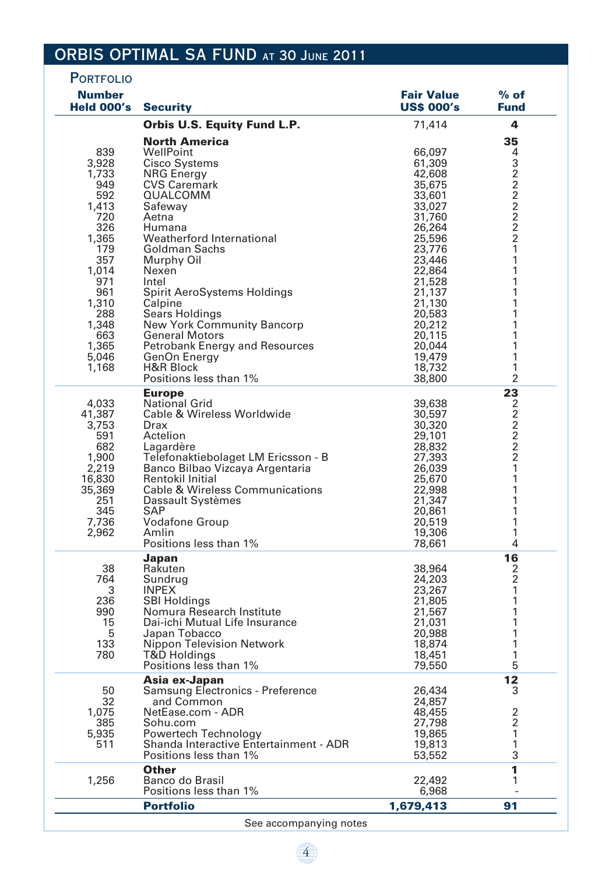| <b>PORTFOLIO</b>                                                                                                                                           |                                                                                                                                                                                                                                                                                                                                                                                                                  |                                                                                                                                                                                                      |                                                                                                                                                                                    |
|------------------------------------------------------------------------------------------------------------------------------------------------------------|------------------------------------------------------------------------------------------------------------------------------------------------------------------------------------------------------------------------------------------------------------------------------------------------------------------------------------------------------------------------------------------------------------------|------------------------------------------------------------------------------------------------------------------------------------------------------------------------------------------------------|------------------------------------------------------------------------------------------------------------------------------------------------------------------------------------|
| <b>Number</b><br>Held 000's                                                                                                                                | <b>Security</b>                                                                                                                                                                                                                                                                                                                                                                                                  | <b>Fair Value</b><br><b>US\$ 000's</b>                                                                                                                                                               | $%$ of<br><b>Fund</b>                                                                                                                                                              |
|                                                                                                                                                            | Orbis U.S. Equity Fund L.P.                                                                                                                                                                                                                                                                                                                                                                                      | 71,414                                                                                                                                                                                               | 4                                                                                                                                                                                  |
| 839<br>3,928<br>1,733<br>949<br>592<br>1,413<br>720<br>326<br>1,365<br>179<br>357<br>1,014<br>971<br>961<br>1,310<br>288<br>1,348<br>663<br>1,365<br>5,046 | North America<br>WellPoint<br>Cisco Systems<br><b>NRG Energy</b><br><b>CVS Caremark</b><br>QUALCOMM<br>Safeway<br>Aetna<br>Humana<br>Weatherford International<br><b>Goldman Sachs</b><br>Murphy Oil<br>Nexen<br>Intel<br>Spirit AeroSystems Holdings<br>Calpine<br><b>Sears Holdings</b><br><b>New York Community Bancorp</b><br><b>General Motors</b><br><b>Petrobank Energy and Resources</b><br>GenOn Energy | 66,097<br>61,309<br>42,608<br>35,675<br>33,601<br>33,027<br>31,760<br>26,264<br>25,596<br>23,776<br>23,446<br>22,864<br>21,528<br>21,137<br>21,130<br>20,583<br>20,212<br>20,115<br>20,044<br>19,479 | 35<br>4<br>3<br>$\overline{\mathbf{c}}$<br>$\begin{array}{c}\n2 \\ 2 \\ 2\n\end{array}$<br>$\overline{2}$<br>$\overline{2}$<br>1<br>1<br>1<br>1<br>1<br>1<br>1<br>1<br>1<br>1<br>1 |
| 1,168                                                                                                                                                      | <b>H&amp;R Block</b><br>Positions less than 1%<br><b>Europe</b>                                                                                                                                                                                                                                                                                                                                                  | 18,732<br>38,800                                                                                                                                                                                     | 1<br>$\overline{2}$<br>23                                                                                                                                                          |
| 4,033<br>41,387<br>3,753<br>591<br>682<br>1,900<br>2,219<br>16,830<br>35,369<br>251<br>345<br>7,736<br>2,962                                               | <b>National Grid</b><br>Cable & Wireless Worldwide<br>Drax<br>Actelion<br>Lagardère<br>Telefonaktiebolaget LM Ericsson - B<br>Banco Bilbao Vizcaya Argentaria<br>Rentokil Initial<br><b>Cable &amp; Wireless Communications</b><br>Dassault Systèmes<br>SAP<br><b>Vodafone Group</b><br>Amlin<br>Positions less than 1%<br>Japan                                                                                 | 39,638<br>30,597<br>30,320<br>29,101<br>28,832<br>27,393<br>26,039<br>25,670<br>22,998<br>21,347<br>20,861<br>20,519<br>19,306<br>78,661                                                             | 2<br>$\sqrt{2}$<br>$\overline{2}$<br>$\frac{2}{2}$<br>$\overline{2}$<br>1<br>1<br>1<br>1<br>1<br>1<br>1<br>4<br>16                                                                 |
| 38<br>764<br>3<br>236<br>990<br>15<br>5<br>133<br>780                                                                                                      | Rakuten<br>Sundrug<br><b>INPEX</b><br><b>SBI Holdings</b><br>Nomura Research Institute<br>Dai-ichi Mutual Life Insurance<br>Japan Tobacco<br><b>Nippon Television Network</b><br>T&D Holdings<br>Positions less than 1%                                                                                                                                                                                          | 38,964<br>24,203<br>23,267<br>21,805<br>21,567<br>21,031<br>20,988<br>18,874<br>18,451<br>79,550                                                                                                     | 2<br>2<br>1<br>1<br>1<br>1<br>1<br>1<br>1<br>5                                                                                                                                     |
| 50<br>32<br>1,075<br>385<br>5,935<br>511                                                                                                                   | Asia ex-Japan<br>Samsung Electronics - Preference<br>and Common<br>NetEase.com - ADR<br>Sohu.com<br>Powertech Technology<br>Shanda Interactive Entertainment - ADR<br>Positions less than 1%                                                                                                                                                                                                                     | 26,434<br>24,857<br>48,455<br>27,798<br>19,865<br>19,813<br>53,552                                                                                                                                   | 12<br>3<br>$\boldsymbol{2}$<br>$\overline{2}$<br>1<br>1<br>3                                                                                                                       |
| 1,256                                                                                                                                                      | Other<br>Banco do Brasil<br>Positions less than 1%<br><b>Portfolio</b>                                                                                                                                                                                                                                                                                                                                           | 22,492<br>6,968<br>1,679,413                                                                                                                                                                         | 1<br>1<br>91                                                                                                                                                                       |

See accompanying notes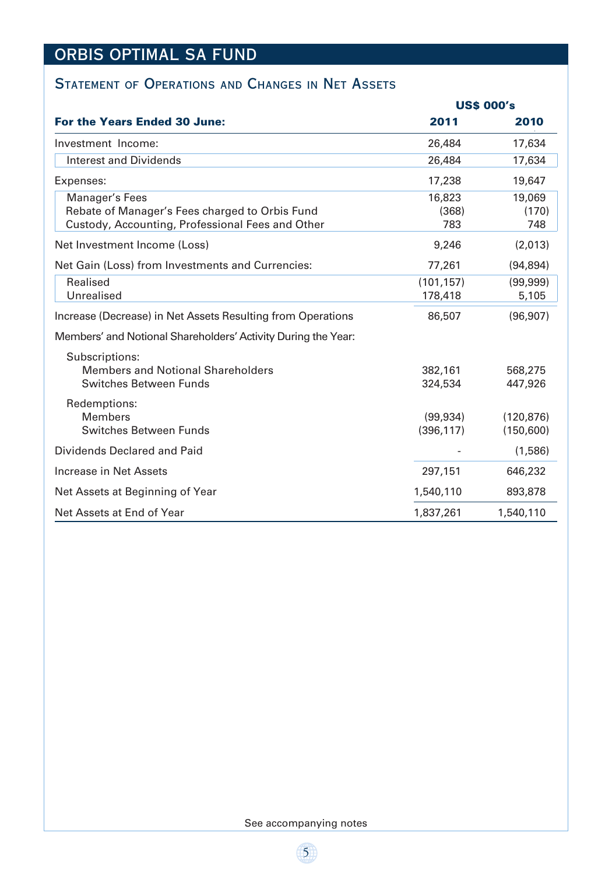# ORBIS OPTIMAL SA FUND

## STATEMENT OF OPERATIONS AND CHANGES IN NET ASSETS

|                                                                                                                      |                         | <b>US\$ 000's</b>       |
|----------------------------------------------------------------------------------------------------------------------|-------------------------|-------------------------|
| <b>For the Years Ended 30 June:</b>                                                                                  | 2011                    | 2010                    |
| Investment Income:                                                                                                   | 26,484                  | 17,634                  |
| Interest and Dividends                                                                                               | 26,484                  | 17,634                  |
| Expenses:                                                                                                            | 17,238                  | 19,647                  |
| Manager's Fees<br>Rebate of Manager's Fees charged to Orbis Fund<br>Custody, Accounting, Professional Fees and Other | 16,823<br>(368)<br>783  | 19,069<br>(170)<br>748  |
| Net Investment Income (Loss)                                                                                         | 9,246                   | (2,013)                 |
| Net Gain (Loss) from Investments and Currencies:                                                                     | 77,261                  | (94, 894)               |
| Realised<br>Unrealised                                                                                               | (101, 157)<br>178,418   | (99, 999)<br>5,105      |
| Increase (Decrease) in Net Assets Resulting from Operations                                                          | 86,507                  | (96, 907)               |
| Members' and Notional Shareholders' Activity During the Year:                                                        |                         |                         |
| Subscriptions:<br><b>Members and Notional Shareholders</b><br>Switches Between Funds                                 | 382,161<br>324,534      | 568,275<br>447,926      |
| Redemptions:<br><b>Members</b><br>Switches Between Funds                                                             | (99, 934)<br>(396, 117) | (120, 876)<br>(150,600) |
| Dividends Declared and Paid                                                                                          |                         | (1,586)                 |
| Increase in Net Assets                                                                                               | 297,151                 | 646,232                 |
| Net Assets at Beginning of Year                                                                                      | 1,540,110               | 893,878                 |
| Net Assets at End of Year                                                                                            | 1,837,261               | 1,540,110               |

See accompanying notes

5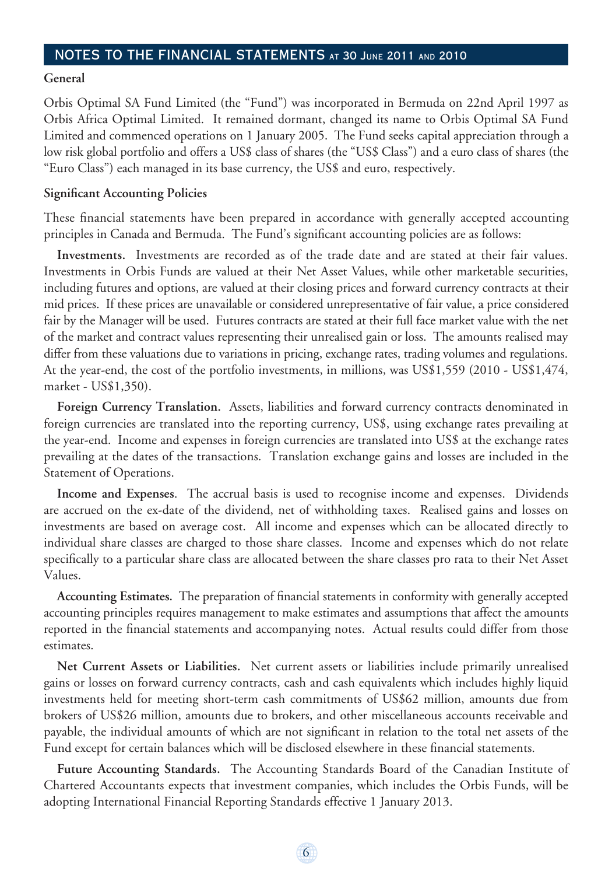#### NOTES TO THE FINANCIAL STATEMENTS AT 30 JUNE 2011 AND 2010

#### **General**

Orbis Optimal SA Fund Limited (the "Fund") was incorporated in Bermuda on 22nd April 1997 as Orbis Africa Optimal Limited. It remained dormant, changed its name to Orbis Optimal SA Fund Limited and commenced operations on 1 January 2005. The Fund seeks capital appreciation through a low risk global portfolio and offers a US\$ class of shares (the "US\$ Class") and a euro class of shares (the "Euro Class") each managed in its base currency, the US\$ and euro, respectively.

#### **Significant Accounting Policies**

These financial statements have been prepared in accordance with generally accepted accounting principles in Canada and Bermuda. The Fund's significant accounting policies are as follows:

**Investments.** Investments are recorded as of the trade date and are stated at their fair values. Investments in Orbis Funds are valued at their Net Asset Values, while other marketable securities, including futures and options, are valued at their closing prices and forward currency contracts at their mid prices. If these prices are unavailable or considered unrepresentative of fair value, a price considered fair by the Manager will be used. Futures contracts are stated at their full face market value with the net of the market and contract values representing their unrealised gain or loss. The amounts realised may differ from these valuations due to variations in pricing, exchange rates, trading volumes and regulations. At the year-end, the cost of the portfolio investments, in millions, was US\$1,559 (2010 - US\$1,474, market - US\$1,350).

 **Foreign Currency Translation.** Assets, liabilities and forward currency contracts denominated in foreign currencies are translated into the reporting currency, US\$, using exchange rates prevailing at the year-end. Income and expenses in foreign currencies are translated into US\$ at the exchange rates prevailing at the dates of the transactions. Translation exchange gains and losses are included in the Statement of Operations.

**Income and Expenses**. The accrual basis is used to recognise income and expenses. Dividends are accrued on the ex-date of the dividend, net of withholding taxes. Realised gains and losses on investments are based on average cost. All income and expenses which can be allocated directly to individual share classes are charged to those share classes. Income and expenses which do not relate specifically to a particular share class are allocated between the share classes pro rata to their Net Asset Values.

**Accounting Estimates.** The preparation of financial statements in conformity with generally accepted accounting principles requires management to make estimates and assumptions that affect the amounts reported in the financial statements and accompanying notes. Actual results could differ from those estimates.

**Net Current Assets or Liabilities.** Net current assets or liabilities include primarily unrealised gains or losses on forward currency contracts, cash and cash equivalents which includes highly liquid investments held for meeting short-term cash commitments of US\$62 million, amounts due from brokers of US\$26 million, amounts due to brokers, and other miscellaneous accounts receivable and payable, the individual amounts of which are not significant in relation to the total net assets of the Fund except for certain balances which will be disclosed elsewhere in these financial statements.

**Future Accounting Standards.** The Accounting Standards Board of the Canadian Institute of Chartered Accountants expects that investment companies, which includes the Orbis Funds, will be adopting International Financial Reporting Standards effective 1 January 2013.

6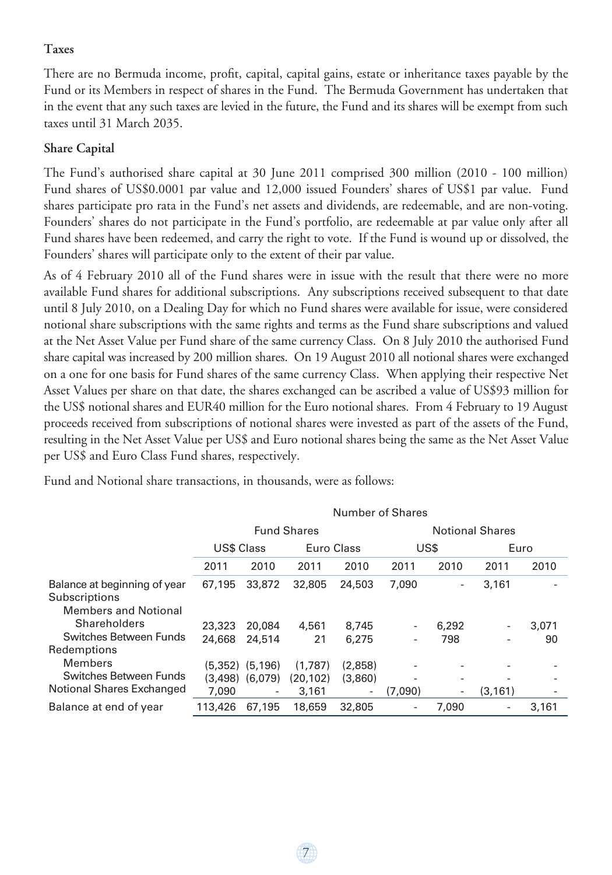#### **Taxes**

There are no Bermuda income, profit, capital, capital gains, estate or inheritance taxes payable by the Fund or its Members in respect of shares in the Fund. The Bermuda Government has undertaken that in the event that any such taxes are levied in the future, the Fund and its shares will be exempt from such taxes until 31 March 2035.

#### **Share Capital**

The Fund's authorised share capital at 30 June 2011 comprised 300 million (2010 - 100 million) Fund shares of US\$0.0001 par value and 12,000 issued Founders' shares of US\$1 par value. Fund shares participate pro rata in the Fund's net assets and dividends, are redeemable, and are non-voting. Founders' shares do not participate in the Fund's portfolio, are redeemable at par value only after all Fund shares have been redeemed, and carry the right to vote. If the Fund is wound up or dissolved, the Founders' shares will participate only to the extent of their par value.

As of 4 February 2010 all of the Fund shares were in issue with the result that there were no more available Fund shares for additional subscriptions. Any subscriptions received subsequent to that date until 8 July 2010, on a Dealing Day for which no Fund shares were available for issue, were considered notional share subscriptions with the same rights and terms as the Fund share subscriptions and valued at the Net Asset Value per Fund share of the same currency Class. On 8 July 2010 the authorised Fund share capital was increased by 200 million shares. On 19 August 2010 all notional shares were exchanged on a one for one basis for Fund shares of the same currency Class. When applying their respective Net Asset Values per share on that date, the shares exchanged can be ascribed a value of US\$93 million for the US\$ notional shares and EUR40 million for the Euro notional shares. From 4 February to 19 August proceeds received from subscriptions of notional shares were invested as part of the assets of the Fund, resulting in the Net Asset Value per US\$ and Euro notional shares being the same as the Net Asset Value per US\$ and Euro Class Fund shares, respectively.

|                                                                              | Number of Shares |                          |                    |                          |                          |                              |          |       |  |
|------------------------------------------------------------------------------|------------------|--------------------------|--------------------|--------------------------|--------------------------|------------------------------|----------|-------|--|
|                                                                              |                  |                          | <b>Fund Shares</b> |                          |                          | <b>Notional Shares</b>       |          |       |  |
|                                                                              | US\$ Class       |                          | Euro Class         |                          | US\$                     |                              | Euro     |       |  |
|                                                                              | 2011             | 2010                     | 2011               | 2010                     | 2011                     | 2010                         | 2011     | 2010  |  |
| Balance at beginning of year<br>Subscriptions<br><b>Members and Notional</b> | 67.195           | 33,872                   | 32,805             | 24,503                   | 7.090                    | $\overline{\phantom{a}}$     | 3,161    |       |  |
| Shareholders                                                                 | 23,323           | 20,084                   | 4,561              | 8.745                    | $\overline{\phantom{a}}$ | 6,292                        |          | 3,071 |  |
| Switches Between Funds<br>Redemptions                                        | 24.668           | 24,514                   | 21                 | 6.275                    |                          | 798                          |          | 90    |  |
| <b>Members</b>                                                               |                  | $(5,352)$ $(5,196)$      | (1.787)            | (2.858)                  |                          |                              |          |       |  |
| Switches Between Funds                                                       |                  | $(3,498)$ $(6,079)$      | (20.102)           | (3,860)                  |                          | $\qquad \qquad \blacksquare$ |          |       |  |
| Notional Shares Exchanged                                                    | 7.090            | $\overline{\phantom{a}}$ | 3,161              | $\overline{\phantom{a}}$ | (7,090)                  | $\overline{\phantom{a}}$     | (3, 161) |       |  |
| Balance at end of year                                                       | 113,426          | 67,195                   | 18,659             | 32,805                   | -                        | 7.090                        | -        | 3.161 |  |

Fund and Notional share transactions, in thousands, were as follows: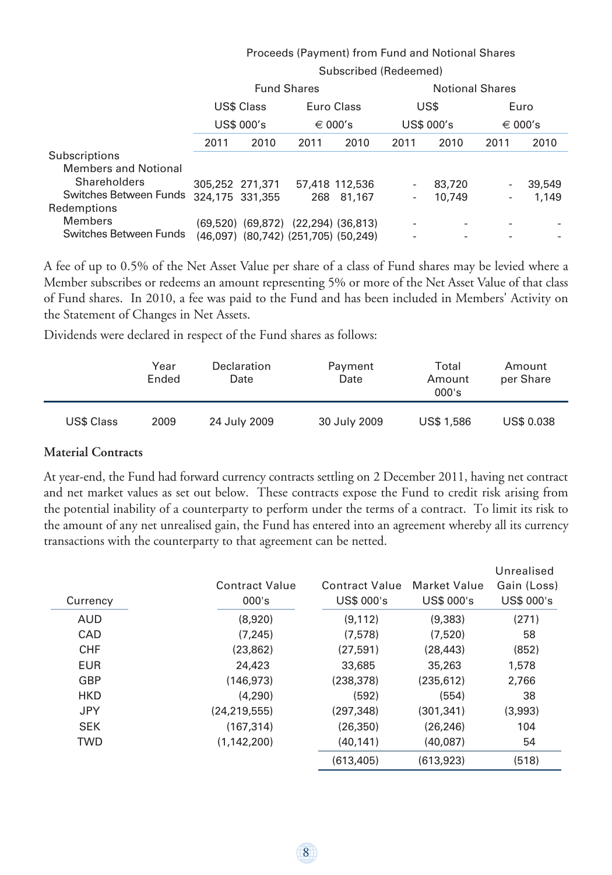### Proceeds (Payment) from Fund and Notional Shares Subscribed (Redeemed)

|                                              | <b>Fund Shares</b> |                                      |      | <b>Notional Shares</b> |                          |            |                              |         |
|----------------------------------------------|--------------------|--------------------------------------|------|------------------------|--------------------------|------------|------------------------------|---------|
|                                              |                    | US\$ Class                           |      | Euro Class             |                          | US\$       |                              | Euro    |
|                                              |                    | <b>US\$ 000's</b>                    |      | € 000's                |                          | US\$ 000's |                              | ∈ 000's |
|                                              | 2011               | 2010                                 | 2011 | 2010                   | 2011                     | 2010       | 2011                         | 2010    |
| Subscriptions<br><b>Members and Notional</b> |                    |                                      |      |                        |                          |            |                              |         |
| <b>Shareholders</b>                          | 305.252 271.371    |                                      |      | 57,418 112,536         |                          | 83,720     | $\qquad \qquad \blacksquare$ | 39,549  |
| Switches Between Funds<br>Redemptions        | 324,175 331,355    |                                      | 268  | 81,167                 | $\overline{\phantom{a}}$ | 10,749     | $\overline{\phantom{a}}$     | 1.149   |
| <b>Members</b>                               |                    | (69,520) (69,872) (22,294) (36,813)  |      |                        |                          |            |                              |         |
| Switches Between Funds                       |                    | (46,097) (80,742) (251,705) (50,249) |      |                        |                          |            |                              |         |

A fee of up to 0.5% of the Net Asset Value per share of a class of Fund shares may be levied where a Member subscribes or redeems an amount representing 5% or more of the Net Asset Value of that class of Fund shares. In 2010, a fee was paid to the Fund and has been included in Members' Activity on the Statement of Changes in Net Assets.

Dividends were declared in respect of the Fund shares as follows:

|            | Year<br>Ended | Declaration<br>Date | Payment<br>Date | Total<br>Amount<br>000's | Amount<br>per Share |
|------------|---------------|---------------------|-----------------|--------------------------|---------------------|
| US\$ Class | 2009          | 24 July 2009        | 30 July 2009    | <b>US\$ 1,586</b>        | <b>US\$ 0.038</b>   |

#### **Material Contracts**

At year-end, the Fund had forward currency contracts settling on 2 December 2011, having net contract and net market values as set out below. These contracts expose the Fund to credit risk arising from the potential inability of a counterparty to perform under the terms of a contract. To limit its risk to the amount of any net unrealised gain, the Fund has entered into an agreement whereby all its currency transactions with the counterparty to that agreement can be netted.

| Currency   | Contract Value<br>000's | <b>Contract Value</b><br><b>US\$ 000's</b> | Market Value<br><b>US\$ 000's</b> | Unrealised<br>Gain (Loss)<br><b>US\$ 000's</b> |
|------------|-------------------------|--------------------------------------------|-----------------------------------|------------------------------------------------|
| <b>AUD</b> | (8,920)                 | (9, 112)                                   | (9,383)                           | (271)                                          |
| CAD        | (7, 245)                | (7, 578)                                   | (7,520)                           | 58                                             |
| <b>CHF</b> | (23, 862)               | (27, 591)                                  | (28, 443)                         | (852)                                          |
| <b>EUR</b> | 24,423                  | 33,685                                     | 35,263                            | 1,578                                          |
| GBP        | (146, 973)              | (238, 378)                                 | (235, 612)                        | 2,766                                          |
| <b>HKD</b> | (4.290)                 | (592)                                      | (554)                             | 38                                             |
| <b>JPY</b> | (24, 219, 555)          | (297, 348)                                 | (301, 341)                        | (3,993)                                        |
| <b>SEK</b> | (167, 314)              | (26, 350)                                  | (26, 246)                         | 104                                            |
| <b>TWD</b> | (1, 142, 200)           | (40, 141)                                  | (40,087)                          | 54                                             |
|            |                         | (613, 405)                                 | (613,923)                         | (518)                                          |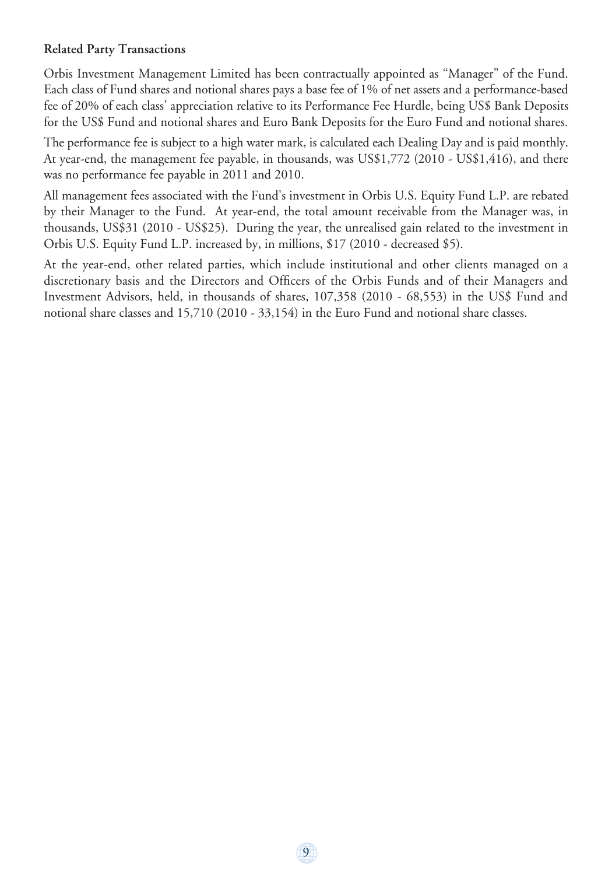#### **Related Party Transactions**

Orbis Investment Management Limited has been contractually appointed as "Manager" of the Fund. Each class of Fund shares and notional shares pays a base fee of 1% of net assets and a performance-based fee of 20% of each class' appreciation relative to its Performance Fee Hurdle, being US\$ Bank Deposits for the US\$ Fund and notional shares and Euro Bank Deposits for the Euro Fund and notional shares.

The performance fee is subject to a high water mark, is calculated each Dealing Day and is paid monthly. At year-end, the management fee payable, in thousands, was US\$1,772 (2010 - US\$1,416), and there was no performance fee payable in 2011 and 2010.

All management fees associated with the Fund's investment in Orbis U.S. Equity Fund L.P. are rebated by their Manager to the Fund. At year-end, the total amount receivable from the Manager was, in thousands, US\$31 (2010 - US\$25). During the year, the unrealised gain related to the investment in Orbis U.S. Equity Fund L.P. increased by, in millions, \$17 (2010 - decreased \$5).

At the year-end, other related parties, which include institutional and other clients managed on a discretionary basis and the Directors and Officers of the Orbis Funds and of their Managers and Investment Advisors, held, in thousands of shares, 107,358 (2010 - 68,553) in the US\$ Fund and notional share classes and 15,710 (2010 - 33,154) in the Euro Fund and notional share classes.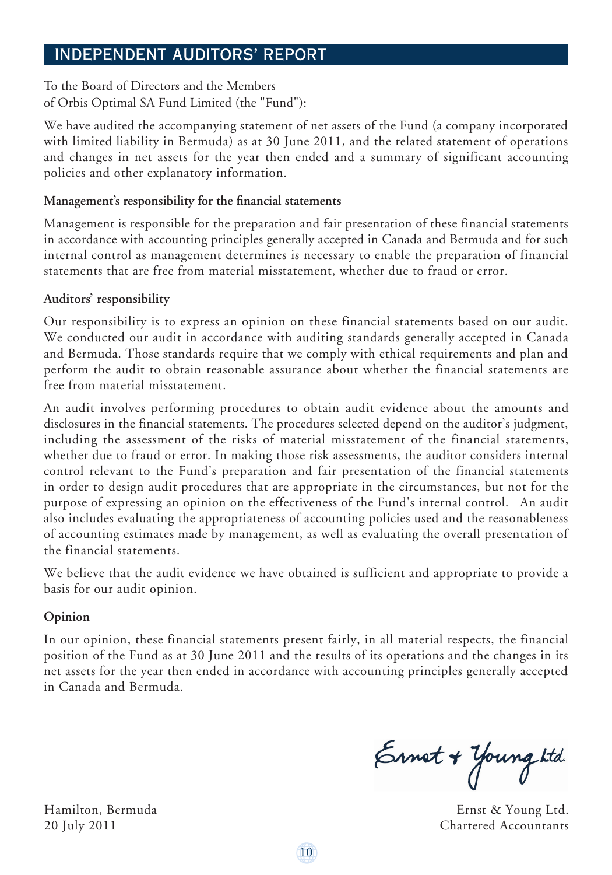## INDEPENDENT AUDITORS' REPORT

To the Board of Directors and the Members of Orbis Optimal SA Fund Limited (the "Fund"):

We have audited the accompanying statement of net assets of the Fund (a company incorporated with limited liability in Bermuda) as at 30 June 2011, and the related statement of operations and changes in net assets for the year then ended and a summary of significant accounting policies and other explanatory information.

#### **Management's responsibility for the financial statements**

Management is responsible for the preparation and fair presentation of these financial statements in accordance with accounting principles generally accepted in Canada and Bermuda and for such internal control as management determines is necessary to enable the preparation of financial statements that are free from material misstatement, whether due to fraud or error.

#### **Auditors' responsibility**

Our responsibility is to express an opinion on these financial statements based on our audit. We conducted our audit in accordance with auditing standards generally accepted in Canada and Bermuda. Those standards require that we comply with ethical requirements and plan and perform the audit to obtain reasonable assurance about whether the financial statements are free from material misstatement.

An audit involves performing procedures to obtain audit evidence about the amounts and disclosures in the financial statements. The procedures selected depend on the auditor's judgment, including the assessment of the risks of material misstatement of the financial statements, whether due to fraud or error. In making those risk assessments, the auditor considers internal control relevant to the Fund's preparation and fair presentation of the financial statements in order to design audit procedures that are appropriate in the circumstances, but not for the purpose of expressing an opinion on the effectiveness of the Fund's internal control. An audit also includes evaluating the appropriateness of accounting policies used and the reasonableness of accounting estimates made by management, as well as evaluating the overall presentation of the financial statements.

We believe that the audit evidence we have obtained is sufficient and appropriate to provide a basis for our audit opinion.

### **Opinion**

In our opinion, these financial statements present fairly, in all material respects, the financial position of the Fund as at 30 June 2011 and the results of its operations and the changes in its net assets for the year then ended in accordance with accounting principles generally accepted in Canada and Bermuda.

Ernet + Young ktd.

Hamilton, Bermuda Ernst & Young Ltd. 20 July 2011 Chartered Accountants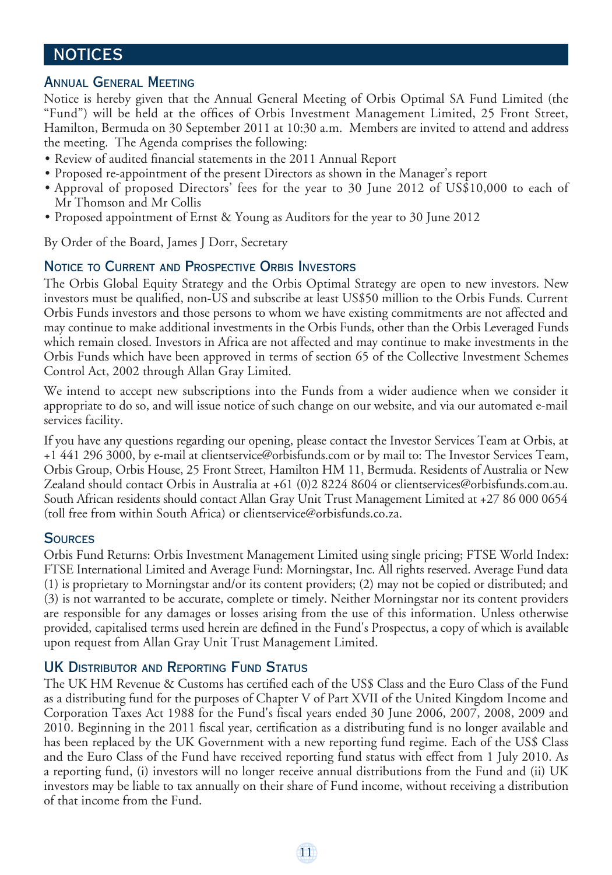## **NOTICES**

### ANNUAL GENERAL MEETING

Notice is hereby given that the Annual General Meeting of Orbis Optimal SA Fund Limited (the "Fund") will be held at the offices of Orbis Investment Management Limited, 25 Front Street, Hamilton, Bermuda on 30 September 2011 at 10:30 a.m. Members are invited to attend and address the meeting. The Agenda comprises the following:

- Review of audited financial statements in the 2011 Annual Report
- Proposed re-appointment of the present Directors as shown in the Manager's report
- Approval of proposed Directors' fees for the year to 30 June 2012 of US\$10,000 to each of Mr Thomson and Mr Collis
- Proposed appointment of Ernst & Young as Auditors for the year to 30 June 2012

By Order of the Board, James J Dorr, Secretary

### NOTICE TO CURRENT AND PROSPECTIVE ORBIS INVESTORS

The Orbis Global Equity Strategy and the Orbis Optimal Strategy are open to new investors. New investors must be qualified, non-US and subscribe at least US\$50 million to the Orbis Funds. Current Orbis Funds investors and those persons to whom we have existing commitments are not affected and may continue to make additional investments in the Orbis Funds, other than the Orbis Leveraged Funds which remain closed. Investors in Africa are not affected and may continue to make investments in the Orbis Funds which have been approved in terms of section 65 of the Collective Investment Schemes Control Act, 2002 through Allan Gray Limited.

We intend to accept new subscriptions into the Funds from a wider audience when we consider it appropriate to do so, and will issue notice of such change on our website, and via our automated e-mail services facility.

If you have any questions regarding our opening, please contact the Investor Services Team at Orbis, at +1 441 296 3000, by e-mail at clientservice@orbisfunds.com or by mail to: The Investor Services Team, Orbis Group, Orbis House, 25 Front Street, Hamilton HM 11, Bermuda. Residents of Australia or New Zealand should contact Orbis in Australia at +61 (0)2 8224 8604 or clientservices@orbisfunds.com.au. South African residents should contact Allan Gray Unit Trust Management Limited at +27 86 000 0654 (toll free from within South Africa) or clientservice@orbisfunds.co.za.

#### **SOURCES**

Orbis Fund Returns: Orbis Investment Management Limited using single pricing; FTSE World Index: FTSE International Limited and Average Fund: Morningstar, Inc. All rights reserved. Average Fund data (1) is proprietary to Morningstar and/or its content providers; (2) may not be copied or distributed; and (3) is not warranted to be accurate, complete or timely. Neither Morningstar nor its content providers are responsible for any damages or losses arising from the use of this information. Unless otherwise provided, capitalised terms used herein are defined in the Fund's Prospectus, a copy of which is available upon request from Allan Gray Unit Trust Management Limited.

### UK DISTRIBUTOR AND REPORTING FUND STATUS

The UK HM Revenue & Customs has certified each of the US\$ Class and the Euro Class of the Fund as a distributing fund for the purposes of Chapter V of Part XVII of the United Kingdom Income and Corporation Taxes Act 1988 for the Fund's fiscal years ended 30 June 2006, 2007, 2008, 2009 and 2010. Beginning in the 2011 fiscal year, certification as a distributing fund is no longer available and has been replaced by the UK Government with a new reporting fund regime. Each of the US\$ Class and the Euro Class of the Fund have received reporting fund status with effect from 1 July 2010. As a reporting fund, (i) investors will no longer receive annual distributions from the Fund and (ii) UK investors may be liable to tax annually on their share of Fund income, without receiving a distribution of that income from the Fund.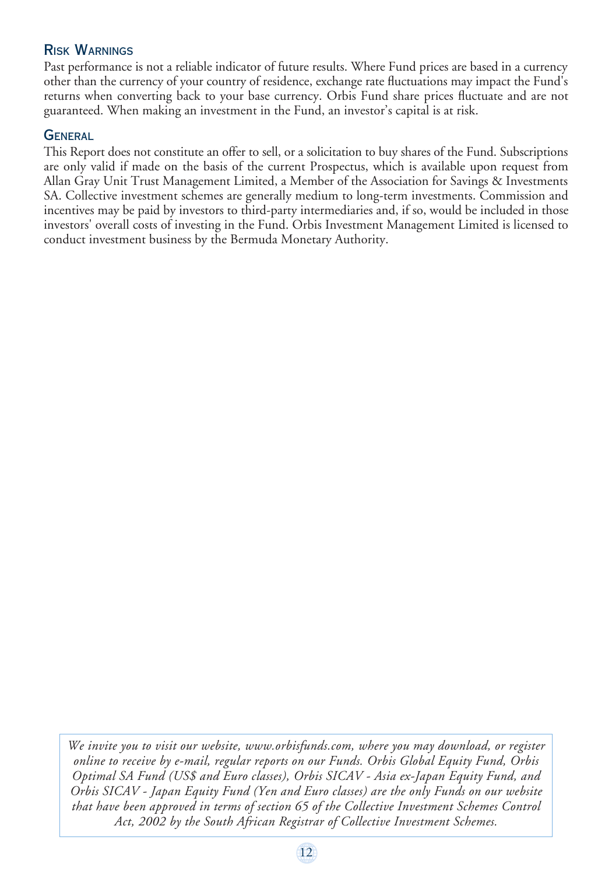### RISK WARNINGS

Past performance is not a reliable indicator of future results. Where Fund prices are based in a currency other than the currency of your country of residence, exchange rate fluctuations may impact the Fund's returns when converting back to your base currency. Orbis Fund share prices fluctuate and are not guaranteed. When making an investment in the Fund, an investor's capital is at risk.

### **GENERAL**

This Report does not constitute an offer to sell, or a solicitation to buy shares of the Fund. Subscriptions are only valid if made on the basis of the current Prospectus, which is available upon request from Allan Gray Unit Trust Management Limited, a Member of the Association for Savings & Investments SA. Collective investment schemes are generally medium to long-term investments. Commission and incentives may be paid by investors to third-party intermediaries and, if so, would be included in those investors' overall costs of investing in the Fund. Orbis Investment Management Limited is licensed to conduct investment business by the Bermuda Monetary Authority.

*We invite you to visit our website, www.orbisfunds.com, where you may download, or register online to receive by e-mail, regular reports on our Funds. Orbis Global Equity Fund, Orbis Optimal SA Fund (US\$ and Euro classes), Orbis SICAV - Asia ex-Japan Equity Fund, and Orbis SICAV - Japan Equity Fund (Yen and Euro classes) are the only Funds on our website that have been approved in terms of section 65 of the Collective Investment Schemes Control Act, 2002 by the South African Registrar of Collective Investment Schemes.*